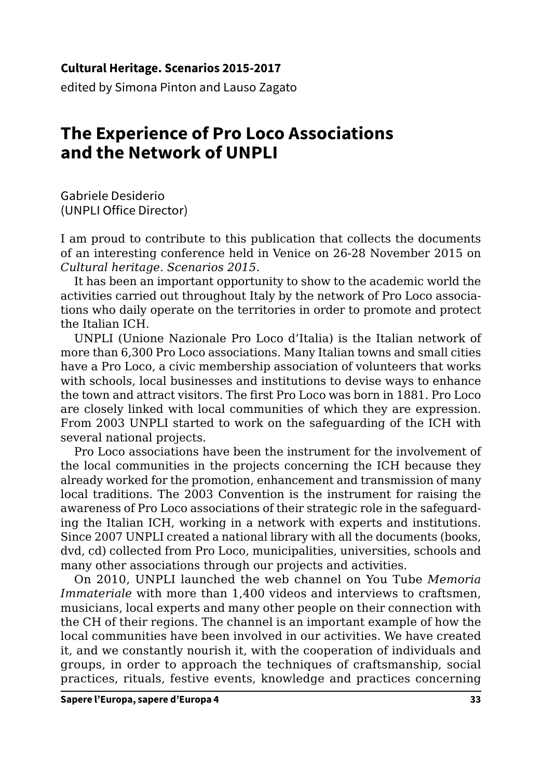## **Cultural Heritage. Scenarios 2015-2017**

edited by Simona Pinton and Lauso Zagato

## **The Experience of Pro Loco Associations and the Network of UNPLI**

Gabriele Desiderio (UNPLI Office Director)

I am proud to contribute to this publication that collects the documents of an interesting conference held in Venice on 26-28 November 2015 on *Cultural heritage. Scenarios 2015*.

It has been an important opportunity to show to the academic world the activities carried out throughout Italy by the network of Pro Loco associations who daily operate on the territories in order to promote and protect the Italian ICH.

UNPLI (Unione Nazionale Pro Loco d'Italia) is the Italian network of more than 6,300 Pro Loco associations. Many Italian towns and small cities have a Pro Loco, a civic membership association of volunteers that works with schools, local businesses and institutions to devise ways to enhance the town and attract visitors. The first Pro Loco was born in 1881. Pro Loco are closely linked with local communities of which they are expression. From 2003 UNPLI started to work on the safeguarding of the ICH with several national projects.

Pro Loco associations have been the instrument for the involvement of the local communities in the projects concerning the ICH because they already worked for the promotion, enhancement and transmission of many local traditions. The 2003 Convention is the instrument for raising the awareness of Pro Loco associations of their strategic role in the safeguarding the Italian ICH, working in a network with experts and institutions. Since 2007 UNPLI created a national library with all the documents (books, dvd, cd) collected from Pro Loco, municipalities, universities, schools and many other associations through our projects and activities.

On 2010, UNPLI launched the web channel on You Tube *Memoria Immateriale* with more than 1,400 videos and interviews to craftsmen, musicians, local experts and many other people on their connection with the CH of their regions. The channel is an important example of how the local communities have been involved in our activities. We have created it, and we constantly nourish it, with the cooperation of individuals and groups, in order to approach the techniques of craftsmanship, social practices, rituals, festive events, knowledge and practices concerning